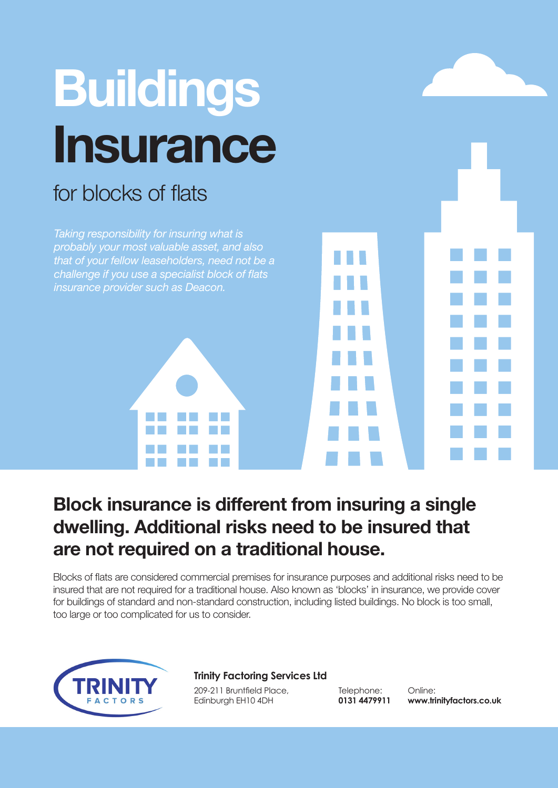

## **Block insurance is different from insuring a single dwelling. Additional risks need to be insured that are not required on a traditional house.**

Blocks of flats are considered commercial premises for insurance purposes and additional risks need to be insured that are not required for a traditional house. Also known as 'blocks' in insurance, we provide cover for buildings of standard and non-standard construction, including listed buildings. No block is too small, too large or too complicated for us to consider.



## **Trinity Factoring Services Ltd**

209-211 Bruntfield Place, Edinburgh EH10 4DH

Telephone: **0131 4479911**

Online: **www.trinityfactors.co.uk**